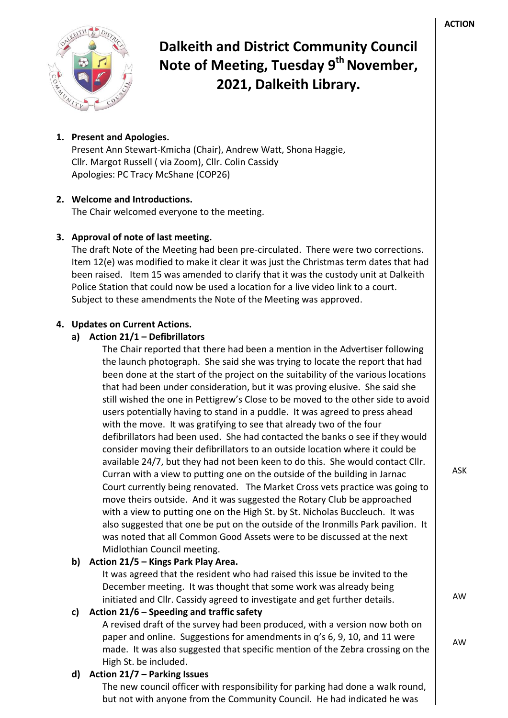

# **Dalkeith and District Community Council Note of Meeting, Tuesday 9 th November, 2021, Dalkeith Library.**

## **1. Present and Apologies.**

Present Ann Stewart-Kmicha (Chair), Andrew Watt, Shona Haggie, Cllr. Margot Russell ( via Zoom), Cllr. Colin Cassidy Apologies: PC Tracy McShane (COP26)

## **2. Welcome and Introductions.**

The Chair welcomed everyone to the meeting.

#### **3. Approval of note of last meeting.**

The draft Note of the Meeting had been pre-circulated. There were two corrections. Item 12(e) was modified to make it clear it was just the Christmas term dates that had been raised. Item 15 was amended to clarify that it was the custody unit at Dalkeith Police Station that could now be used a location for a live video link to a court. Subject to these amendments the Note of the Meeting was approved.

#### **4. Updates on Current Actions.**

#### **a) Action 21/1 – Defibrillators**

The Chair reported that there had been a mention in the Advertiser following the launch photograph. She said she was trying to locate the report that had been done at the start of the project on the suitability of the various locations that had been under consideration, but it was proving elusive. She said she still wished the one in Pettigrew's Close to be moved to the other side to avoid users potentially having to stand in a puddle. It was agreed to press ahead with the move. It was gratifying to see that already two of the four defibrillators had been used. She had contacted the banks o see if they would consider moving their defibrillators to an outside location where it could be available 24/7, but they had not been keen to do this. She would contact Cllr. Curran with a view to putting one on the outside of the building in Jarnac Court currently being renovated. The Market Cross vets practice was going to move theirs outside. And it was suggested the Rotary Club be approached with a view to putting one on the High St. by St. Nicholas Buccleuch. It was also suggested that one be put on the outside of the Ironmills Park pavilion. It was noted that all Common Good Assets were to be discussed at the next Midlothian Council meeting.

## **b) Action 21/5 – Kings Park Play Area.**

It was agreed that the resident who had raised this issue be invited to the December meeting. It was thought that some work was already being initiated and Cllr. Cassidy agreed to investigate and get further details.

## **c) Action 21/6 – Speeding and traffic safety**

A revised draft of the survey had been produced, with a version now both on paper and online. Suggestions for amendments in q's 6, 9, 10, and 11 were made. It was also suggested that specific mention of the Zebra crossing on the High St. be included.

#### **d) Action 21/7 – Parking Issues**

The new council officer with responsibility for parking had done a walk round, but not with anyone from the Community Council. He had indicated he was

ASK

AW

AW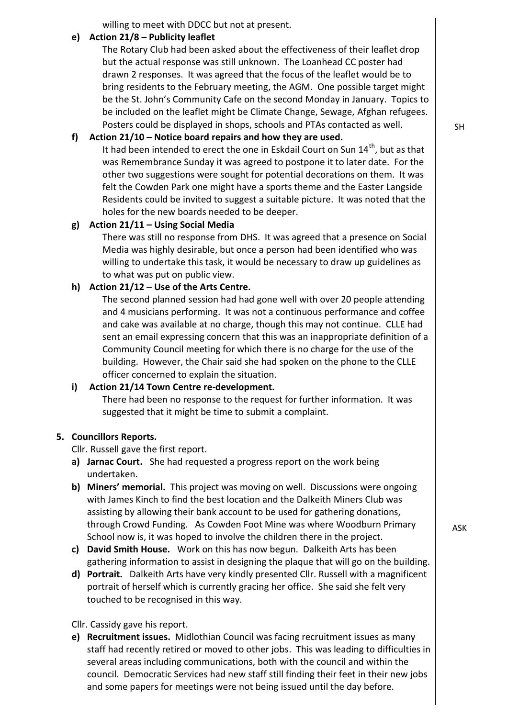willing to meet with DDCC but not at present.

#### **e) Action 21/8 – Publicity leaflet**

The Rotary Club had been asked about the effectiveness of their leaflet drop but the actual response was still unknown. The Loanhead CC poster had drawn 2 responses. It was agreed that the focus of the leaflet would be to bring residents to the February meeting, the AGM. One possible target might be the St. John's Community Cafe on the second Monday in January. Topics to be included on the leaflet might be Climate Change, Sewage, Afghan refugees. Posters could be displayed in shops, schools and PTAs contacted as well.

### **f) Action 21/10 – Notice board repairs and how they are used.**

It had been intended to erect the one in Eskdail Court on Sun 14<sup>th</sup>, but as that was Remembrance Sunday it was agreed to postpone it to later date. For the other two suggestions were sought for potential decorations on them. It was felt the Cowden Park one might have a sports theme and the Easter Langside Residents could be invited to suggest a suitable picture. It was noted that the holes for the new boards needed to be deeper.

#### **g) Action 21/11 – Using Social Media**

There was still no response from DHS. It was agreed that a presence on Social Media was highly desirable, but once a person had been identified who was willing to undertake this task, it would be necessary to draw up guidelines as to what was put on public view.

#### **h) Action 21/12 – Use of the Arts Centre.**

The second planned session had had gone well with over 20 people attending and 4 musicians performing. It was not a continuous performance and coffee and cake was available at no charge, though this may not continue. CLLE had sent an email expressing concern that this was an inappropriate definition of a Community Council meeting for which there is no charge for the use of the building. However, the Chair said she had spoken on the phone to the CLLE officer concerned to explain the situation.

#### **i) Action 21/14 Town Centre re-development.**

There had been no response to the request for further information. It was suggested that it might be time to submit a complaint.

#### **5. Councillors Reports.**

Cllr. Russell gave the first report.

- **a) Jarnac Court.** She had requested a progress report on the work being undertaken.
- **b) Miners' memorial.** This project was moving on well. Discussions were ongoing with James Kinch to find the best location and the Dalkeith Miners Club was assisting by allowing their bank account to be used for gathering donations, through Crowd Funding. As Cowden Foot Mine was where Woodburn Primary School now is, it was hoped to involve the children there in the project.
- **c) David Smith House.** Work on this has now begun. Dalkeith Arts has been gathering information to assist in designing the plaque that will go on the building.
- **d) Portrait.** Dalkeith Arts have very kindly presented Cllr. Russell with a magnificent portrait of herself which is currently gracing her office. She said she felt very touched to be recognised in this way.

#### Cllr. Cassidy gave his report.

**e) Recruitment issues.** Midlothian Council was facing recruitment issues as many staff had recently retired or moved to other jobs. This was leading to difficulties in several areas including communications, both with the council and within the council. Democratic Services had new staff still finding their feet in their new jobs and some papers for meetings were not being issued until the day before.

ASK

SH